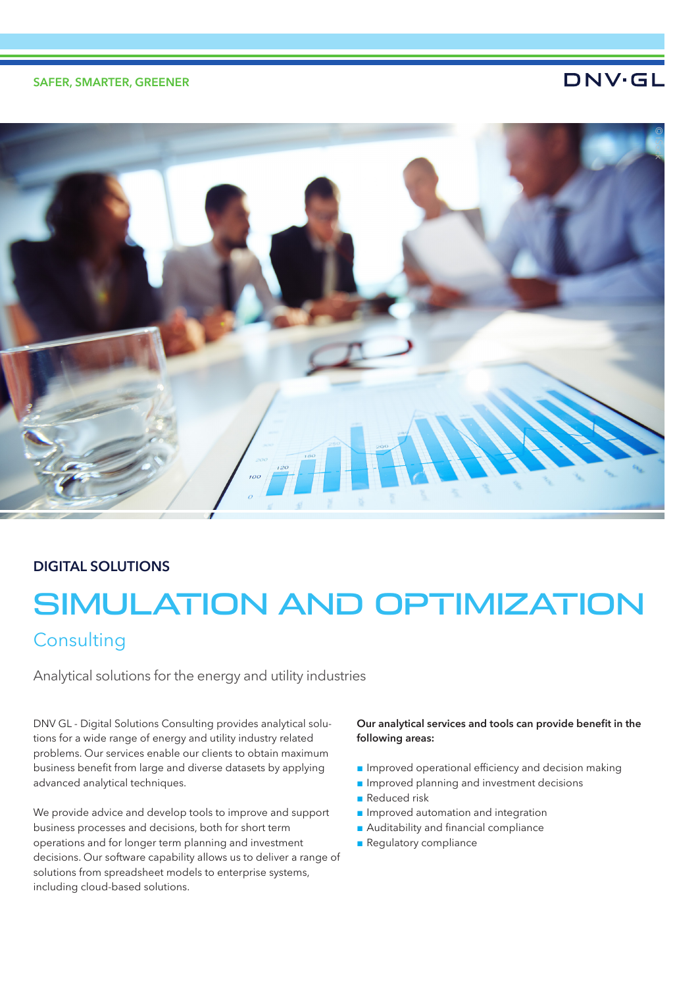# SAFER, SMARTER, GREENER

# **DNV·GL**



# DIGITAL SOLUTIONS

# SIMULATION AND OPTIMIZATION

# **Consulting**

Analytical solutions for the energy and utility industries

DNV GL - Digital Solutions Consulting provides analytical solutions for a wide range of energy and utility industry related problems. Our services enable our clients to obtain maximum business benefit from large and diverse datasets by applying advanced analytical techniques.

We provide advice and develop tools to improve and support business processes and decisions, both for short term operations and for longer term planning and investment decisions. Our software capability allows us to deliver a range of solutions from spreadsheet models to enterprise systems, including cloud-based solutions.

## Our analytical services and tools can provide benefit in the following areas:

- Improved operational efficiency and decision making
- Improved planning and investment decisions
- Reduced risk
- Improved automation and integration
- Auditability and financial compliance
- Regulatory compliance